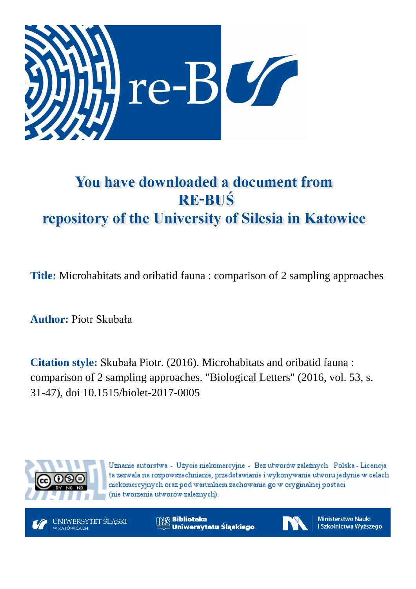

# You have downloaded a document from **RE-BUŚ** repository of the University of Silesia in Katowice

**Title:** Microhabitats and oribatid fauna : comparison of 2 sampling approaches

**Author:** Piotr Skubała

**Citation style:** Skubała Piotr. (2016). Microhabitats and oribatid fauna : comparison of 2 sampling approaches. ["Biological Letters"](https://www.scopus.com/sourceid/21100782200?origin=recordpage) (2016, vol. 53, s. 31-47), doi 10.1515/biolet-2017-0005



Uznanie autorstwa - Użycie niekomercyjne - Bez utworów zależnych Polska - Licencja ta zezwala na rozpowszechnianie, przedstawianie i wykonywanie utworu jedynie w celach niekomercyjnych oraz pod warunkiem zachowania go w oryginalnej postaci (nie tworzenia utworów zależnych).



**Biblioteka** Uniwersytetu Śląskiego



**Ministerstwo Nauki** i Szkolnictwa Wyższego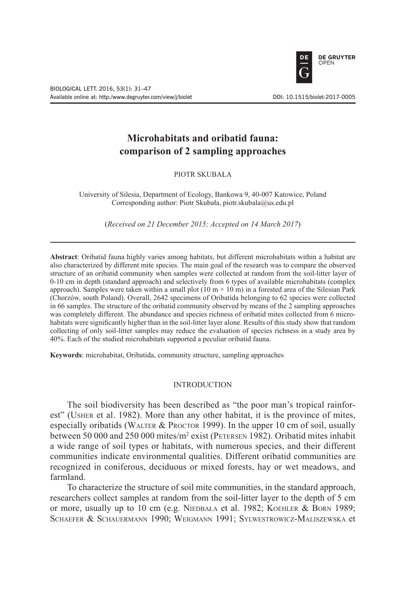

# **Microhabitats and oribatid fauna: comparison of 2 sampling approaches**

PIOTR SKUBAŁA

University of Silesia, Department of Ecology, Bankowa 9, 40-007 Katowice, Poland Corresponding author: Piotr Skubała, piotr.skubala@us.edu.pl

(*Received on 21 December 2015; Accepted on 14 March 2017*)

**Abstract**: Oribatid fauna highly varies among habitats, but different microhabitats within a habitat are also characterized by different mite species. The main goal of the research was to compare the observed structure of an oribatid community when samples were collected at random from the soil-litter layer of 0-10 cm in depth (standard approach) and selectively from 6 types of available microhabitats (complex approach). Samples were taken within a small plot  $(10 \text{ m} \times 10 \text{ m})$  in a forested area of the Silesian Park (Chorzów, south Poland). Overall, 2642 specimens of Oribatida belonging to 62 species were collected in 66 samples. The structure of the oribatid community observed by means of the 2 sampling approaches was completely different. The abundance and species richness of oribatid mites collected from 6 microhabitats were significantly higher than in the soil-litter layer alone. Results of this study show that random collecting of only soil-litter samples may reduce the evaluation of species richness in a study area by 40%. Each of the studied microhabitats supported a peculiar oribatid fauna.

**Keywords**: microhabitat, Oribatida, community structure, sampling approaches

### **INTRODUCTION**

The soil biodiversity has been described as "the poor man's tropical rainforest" (Usher et al. 1982). More than any other habitat, it is the province of mites, especially oribatids (WALTER & PROCTOR 1999). In the upper 10 cm of soil, usually between 50 000 and 250 000 mites/m<sup>2</sup> exist (PETERSEN 1982). Oribatid mites inhabit a wide range of soil types or habitats, with numerous species, and their different communities indicate environmental qualities. Different oribatid communities are recognized in coniferous, deciduous or mixed forests, hay or wet meadows, and farmland.

To characterize the structure of soil mite communities, in the standard approach, researchers collect samples at random from the soil-litter layer to the depth of 5 cm or more, usually up to 10 cm (e.g. NIEDBAŁA et al. 1982; KOEHLER & BORN 1989; Schaefer & Schauermann 1990; Weigmann 1991; Sylwestrowicz-Maliszewska et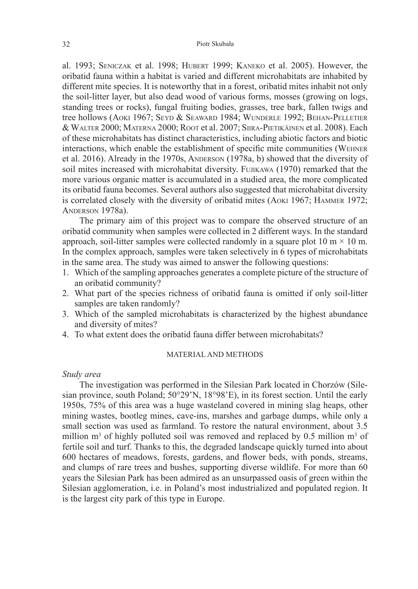al. 1993; Seniczak et al. 1998; Hubert 1999; Kaneko et al. 2005). However, the oribatid fauna within a habitat is varied and different microhabitats are inhabited by different mite species. It is noteworthy that in a forest, oribatid mites inhabit not only the soil-litter layer, but also dead wood of various forms, mosses (growing on logs, standing trees or rocks), fungal fruiting bodies, grasses, tree bark, fallen twigs and tree hollows (Aoki 1967; Seyd & Seaward 1984; Wunderle 1992; Behan-Pelletier & Walter 2000; Materna 2000; Root et al. 2007; Siira-Pietikäinen et al. 2008). Each of these microhabitats has distinct characteristics, including abiotic factors and biotic interactions, which enable the establishment of specific mite communities (Wehner et al. 2016). Already in the 1970s, ANDERSON (1978a, b) showed that the diversity of soil mites increased with microhabitat diversity. FUJIKAWA (1970) remarked that the more various organic matter is accumulated in a studied area, the more complicated its oribatid fauna becomes. Several authors also suggested that microhabitat diversity is correlated closely with the diversity of oribatid mites (Aoki 1967; Hammer 1972; Anderson 1978a).

The primary aim of this project was to compare the observed structure of an oribatid community when samples were collected in 2 different ways. In the standard approach, soil-litter samples were collected randomly in a square plot 10 m  $\times$  10 m. In the complex approach, samples were taken selectively in 6 types of microhabitats in the same area. The study was aimed to answer the following questions:

- 1. Which of the sampling approaches generates a complete picture of the structure of an oribatid community?
- 2. What part of the species richness of oribatid fauna is omitted if only soil-litter samples are taken randomly?
- 3. Which of the sampled microhabitats is characterized by the highest abundance and diversity of mites?
- 4. To what extent does the oribatid fauna differ between microhabitats?

# MATERIAL AND METHODS

# *Study area*

The investigation was performed in the Silesian Park located in Chorzów (Silesian province, south Poland; 50°29'N, 18°98'E), in its forest section. Until the early 1950s, 75% of this area was a huge wasteland covered in mining slag heaps, other mining wastes, bootleg mines, cave-ins, marshes and garbage dumps, while only a small section was used as farmland. To restore the natural environment, about 3.5 million  $m<sup>3</sup>$  of highly polluted soil was removed and replaced by 0.5 million  $m<sup>3</sup>$  of fertile soil and turf. Thanks to this, the degraded landscape quickly turned into about 600 hectares of meadows, forests, gardens, and flower beds, with ponds, streams, and clumps of rare trees and bushes, supporting diverse wildlife. For more than 60 years the Silesian Park has been admired as an unsurpassed oasis of green within the Silesian agglomeration, i.e. in Poland's most industrialized and populated region. It is the largest city park of this type in Europe.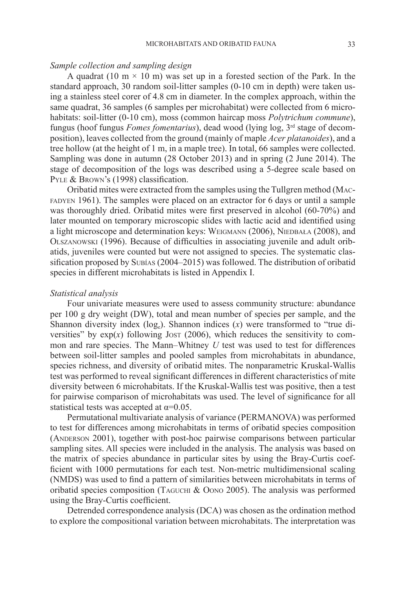# *Sample collection and sampling design*

A quadrat (10 m  $\times$  10 m) was set up in a forested section of the Park. In the standard approach, 30 random soil-litter samples (0-10 cm in depth) were taken using a stainless steel corer of 4.8 cm in diameter. In the complex approach, within the same quadrat, 36 samples (6 samples per microhabitat) were collected from 6 microhabitats: soil-litter (0-10 cm), moss (common haircap moss *Polytrichum commune*), fungus (hoof fungus *Fomes fomentarius*), dead wood (lying log, 3rd stage of decomposition), leaves collected from the ground (mainly of maple *Acer platanoides*), and a tree hollow (at the height of 1 m, in a maple tree). In total, 66 samples were collected. Sampling was done in autumn (28 October 2013) and in spring (2 June 2014). The stage of decomposition of the logs was described using a 5-degree scale based on PYLE & BROWN's (1998) classification.

Oribatid mites were extracted from the samples using the Tullgren method (Macfadyen 1961). The samples were placed on an extractor for 6 days or until a sample was thoroughly dried. Oribatid mites were first preserved in alcohol (60-70%) and later mounted on temporary microscopic slides with lactic acid and identified using a light microscope and determination keys: WEIGMANN (2006), NIEDBAŁA (2008), and Olszanowski (1996). Because of difficulties in associating juvenile and adult oribatids, juveniles were counted but were not assigned to species. The systematic classification proposed by Subías (2004–2015) was followed. The distribution of oribatid species in different microhabitats is listed in Appendix I.

# *Statistical analysis*

Four univariate measures were used to assess community structure: abundance per 100 g dry weight (DW), total and mean number of species per sample, and the Shannon diversity index  $(log_e)$ . Shannon indices  $(x)$  were transformed to "true diversities" by  $exp(x)$  following Jost (2006), which reduces the sensitivity to common and rare species. The Mann–Whitney *U* test was used to test for differences between soil-litter samples and pooled samples from microhabitats in abundance, species richness, and diversity of oribatid mites. The nonparametric Kruskal-Wallis test was performed to reveal significant differences in different characteristics of mite diversity between 6 microhabitats. If the Kruskal-Wallis test was positive, then a test for pairwise comparison of microhabitats was used. The level of significance for all statistical tests was accepted at  $\alpha$ =0.05.

Permutational multivariate analysis of variance (PERMANOVA) was performed to test for differences among microhabitats in terms of oribatid species composition (Anderson 2001), together with post-hoc pairwise comparisons between particular sampling sites. All species were included in the analysis. The analysis was based on the matrix of species abundance in particular sites by using the Bray-Curtis coefficient with 1000 permutations for each test. Non-metric multidimensional scaling (NMDS) was used to find a pattern of similarities between microhabitats in terms of oribatid species composition (TAGUCHI & Oono 2005). The analysis was performed using the Bray-Curtis coefficient.

Detrended correspondence analysis (DCA) was chosen as the ordination method to explore the compositional variation between microhabitats. The interpretation was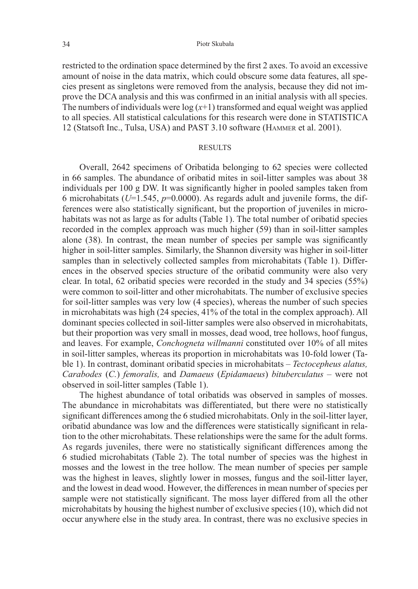restricted to the ordination space determined by the first 2 axes. To avoid an excessive amount of noise in the data matrix, which could obscure some data features, all species present as singletons were removed from the analysis, because they did not improve the DCA analysis and this was confirmed in an initial analysis with all species. The numbers of individuals were  $log(x+1)$  transformed and equal weight was applied to all species. All statistical calculations for this research were done in STATISTICA 12 (Statsoft Inc., Tulsa, USA) and PAST 3.10 software (Hammer et al. 2001).

#### **RESULTS**

Overall, 2642 specimens of Oribatida belonging to 62 species were collected in 66 samples. The abundance of oribatid mites in soil-litter samples was about 38 individuals per 100 g DW. It was significantly higher in pooled samples taken from 6 microhabitats ( $U=1.545$ ,  $p=0.0000$ ). As regards adult and juvenile forms, the differences were also statistically significant, but the proportion of juveniles in microhabitats was not as large as for adults (Table 1). The total number of oribatid species recorded in the complex approach was much higher (59) than in soil-litter samples alone (38). In contrast, the mean number of species per sample was significantly higher in soil-litter samples. Similarly, the Shannon diversity was higher in soil-litter samples than in selectively collected samples from microhabitats (Table 1). Differences in the observed species structure of the oribatid community were also very clear. In total, 62 oribatid species were recorded in the study and 34 species (55%) were common to soil-litter and other microhabitats. The number of exclusive species for soil-litter samples was very low (4 species), whereas the number of such species in microhabitats was high (24 species, 41% of the total in the complex approach). All dominant species collected in soil-litter samples were also observed in microhabitats, but their proportion was very small in mosses, dead wood, tree hollows, hoof fungus, and leaves. For example, *Conchogneta willmanni* constituted over 10% of all mites in soil-litter samples, whereas its proportion in microhabitats was 10-fold lower (Table 1). In contrast, dominant oribatid species in microhabitats – *Tectocepheus alatus, Carabodes* (*C.*) *femoralis,* and *Damaeus* (*Epidamaeus*) *bituberculatus* – were not observed in soil-litter samples (Table 1).

The highest abundance of total oribatids was observed in samples of mosses. The abundance in microhabitats was differentiated, but there were no statistically significant differences among the 6 studied microhabitats. Only in the soil-litter layer, oribatid abundance was low and the differences were statistically significant in relation to the other microhabitats. These relationships were the same for the adult forms. As regards juveniles, there were no statistically significant differences among the 6 studied microhabitats (Table 2). The total number of species was the highest in mosses and the lowest in the tree hollow. The mean number of species per sample was the highest in leaves, slightly lower in mosses, fungus and the soil-litter layer, and the lowest in dead wood. However, the differences in mean number of species per sample were not statistically significant. The moss layer differed from all the other microhabitats by housing the highest number of exclusive species (10), which did not occur anywhere else in the study area. In contrast, there was no exclusive species in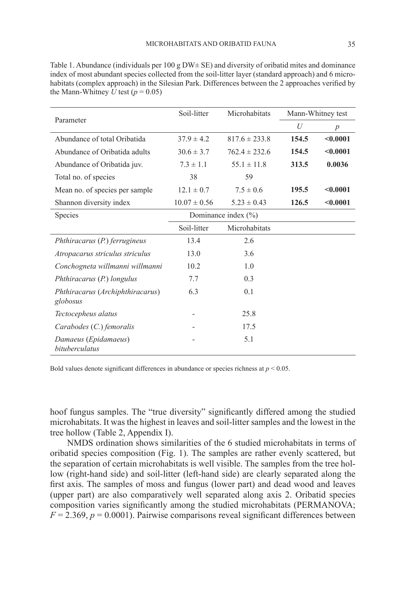| Parameter                                    | Soil-litter      | Microhabitats           |       | Mann-Whitney test |
|----------------------------------------------|------------------|-------------------------|-------|-------------------|
|                                              |                  |                         | U     | $\boldsymbol{p}$  |
| Abundance of total Oribatida                 | $37.9 \pm 4.2$   | $817.6 \pm 233.8$       | 154.5 | < 0.0001          |
| Abundance of Oribatida adults                | $30.6 \pm 3.7$   | $762.4 \pm 232.6$       | 154.5 | < 0.0001          |
| Abundance of Oribatida juv.                  | $7.3 \pm 1.1$    | $55.1 \pm 11.8$         | 313.5 | 0.0036            |
| Total no. of species                         | 38               | 59                      |       |                   |
| Mean no. of species per sample               | $12.1 \pm 0.7$   | $7.5 \pm 0.6$           | 195.5 | < 0.0001          |
| Shannon diversity index                      | $10.07 \pm 0.56$ | $5.23 \pm 0.43$         | 126.5 | < 0.0001          |
| <b>Species</b>                               |                  | Dominance index $(\% )$ |       |                   |
|                                              | Soil-litter      | Microhabitats           |       |                   |
| Phthiracarus (P.) ferrugineus                | 13.4             | 2.6                     |       |                   |
| Atropacarus striculus striculus              | 13.0             | 3.6                     |       |                   |
| Conchogneta willmanni willmanni              | 10.2             | 1.0                     |       |                   |
| Phthiracarus (P.) longulus                   | 7.7              | 0.3                     |       |                   |
| Phthiracarus (Archiphthiracarus)<br>globosus | 6.3              | 0.1                     |       |                   |
| Tectocepheus alatus                          |                  | 25.8                    |       |                   |
| Carabodes (C.) femoralis                     |                  | 17.5                    |       |                   |
| Damaeus (Epidamaeus)<br>bituberculatus       |                  | 5.1                     |       |                   |

Table 1. Abundance (individuals per 100 g DW $\pm$  SE) and diversity of oribatid mites and dominance index of most abundant species collected from the soil-litter layer (standard approach) and 6 microhabitats (complex approach) in the Silesian Park. Differences between the 2 approaches verified by the Mann-Whitney  $\hat{U}$  test ( $p = 0.05$ )

Bold values denote significant differences in abundance or species richness at  $p < 0.05$ .

hoof fungus samples. The "true diversity" significantly differed among the studied microhabitats. It was the highest in leaves and soil-litter samples and the lowest in the tree hollow (Table 2, Appendix I).

NMDS ordination shows similarities of the 6 studied microhabitats in terms of oribatid species composition (Fig. 1). The samples are rather evenly scattered, but the separation of certain microhabitats is well visible. The samples from the tree hollow (right-hand side) and soil-litter (left-hand side) are clearly separated along the first axis. The samples of moss and fungus (lower part) and dead wood and leaves (upper part) are also comparatively well separated along axis 2. Oribatid species composition varies significantly among the studied microhabitats (PERMANOVA;  $F = 2.369$ ,  $p = 0.0001$ ). Pairwise comparisons reveal significant differences between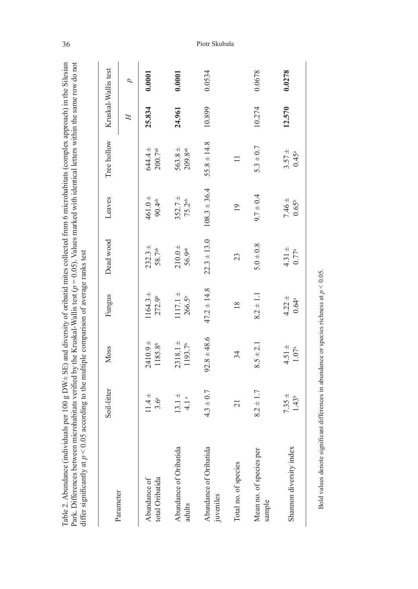| differ significantly at $p < 0.05$ according to the multiple comparison of average ranks test<br>Table 2. Abundance (indiv<br>Park. Differences between |                                | microhabitats verified by the Kruskal-Wallis test ( $p = 0.05$ ). Values marked with identical letters within the same row do not<br>iduals per $100 g$ DW $\pm$ SE) and diversity of oribatid mites collected from 6 microhabitats (complex approach) in the Silesian |                                  |                                 |                                 |                                    |                     |        |
|---------------------------------------------------------------------------------------------------------------------------------------------------------|--------------------------------|------------------------------------------------------------------------------------------------------------------------------------------------------------------------------------------------------------------------------------------------------------------------|----------------------------------|---------------------------------|---------------------------------|------------------------------------|---------------------|--------|
|                                                                                                                                                         | Soil-litter                    | Moss                                                                                                                                                                                                                                                                   | Fungus                           | Dead wood                       | Leaves                          | Tree hollow                        | Kruskal-Wallis test |        |
| Parameter                                                                                                                                               |                                |                                                                                                                                                                                                                                                                        |                                  |                                 |                                 |                                    | H                   | d      |
| total Oribatida<br>Abundance of                                                                                                                         | $11.4 +$<br>$3.6^{\circ}$      | $2410.9 +$<br>1185.8 <sup>b</sup>                                                                                                                                                                                                                                      | $1164.3 +$<br>272.9 <sup>b</sup> | $232.3 +$<br>58.7ab             | $461.0 +$<br>90.4 <sup>ab</sup> | $644.4 \pm$<br>200.7 <sup>ab</sup> | 25.834              | 0.0001 |
| Abundance of Oribatida<br>adults                                                                                                                        | $13.1 \pm$<br>4.1 <sup>a</sup> | $2318.1 +$<br>1193.7 <sup>b</sup>                                                                                                                                                                                                                                      | $1117.1 +$<br>266.5 <sup>b</sup> | $210.0 +$<br>56.9 <sup>ab</sup> | $352.7 +$<br>75.2 <sup>ab</sup> | $563.8 \pm$<br>$209.8^{ab}$        | 24.961              | 0.0001 |
| Abundance of Oribatida<br>juveniles                                                                                                                     | $4.3 \pm 0.7$                  | $92.8 \pm 48.6$                                                                                                                                                                                                                                                        | $47.2 \pm 14.8$                  | $22.3 \pm 13.0$                 | $108.3 \pm 36.4$                | $55.8 \pm 14.8$                    | 10.899              | 0.0534 |
| Total no. of species                                                                                                                                    | $\overline{c}$                 | 34                                                                                                                                                                                                                                                                     | $\frac{8}{18}$                   | 23                              | $\overline{19}$                 | $\equiv$                           |                     |        |
| Mean no. of species per<br>sample                                                                                                                       | $8.2 \pm 1.7$                  | $8.5 \pm 2.1$                                                                                                                                                                                                                                                          | $8.2 \pm 1.1$                    | $5.0 \pm 0.8$                   | $9.7 \pm 0.4$                   | $5.3 \pm 0.7$                      | 10.274              | 0.0678 |
| Shannon diversity index                                                                                                                                 | $7.35 \pm$<br>$1.43^{b}$       | $4.51 \pm$<br>$1.07^{\rm a}$                                                                                                                                                                                                                                           | $4.22 \pm$<br>$0.64^{a}$         | $4.31 \pm$<br>$0.77^{a}$        | $7.46 \pm$<br>$0.65^{b}$        | $3.57 +$<br>$0.45^{a}$             | 12.570              | 0.0278 |
|                                                                                                                                                         |                                |                                                                                                                                                                                                                                                                        |                                  |                                 |                                 |                                    |                     |        |

Bold values denote significant differences in abundance or species richness at  $p < 0.05$ . Bold values denote significant differences in abundance or species richness at *p* < 0.05.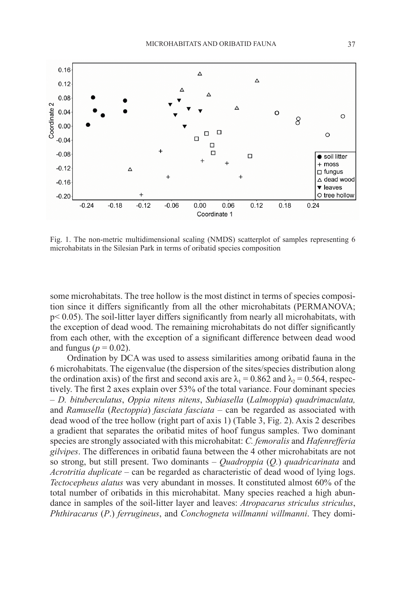

Fig. 1. The non-metric multidimensional scaling (NMDS) scatterplot of samples representing 6 microhabitats in the Silesian Park in terms of oribatid species composition

some microhabitats. The tree hollow is the most distinct in terms of species composition since it differs significantly from all the other microhabitats (PERMANOVA; p< 0.05). The soil-litter layer differs significantly from nearly all microhabitats, with the exception of dead wood. The remaining microhabitats do not differ significantly from each other, with the exception of a significant difference between dead wood and fungus ( $p = 0.02$ ).

Ordination by DCA was used to assess similarities among oribatid fauna in the 6 microhabitats. The eigenvalue (the dispersion of the sites/species distribution along the ordination axis) of the first and second axis are  $\lambda_1 = 0.862$  and  $\lambda_2 = 0.564$ , respectively. The first 2 axes explain over 53% of the total variance. Four dominant species – *D. bituberculatus*, *Oppia nitens nitens*, *Subiasella* (*Lalmoppia*) *quadrimaculata,*  and *Ramusella* (*Rectoppia*) *fasciata fasciata* – can be regarded as associated with dead wood of the tree hollow (right part of axis 1) (Table 3, Fig. 2). Axis 2 describes a gradient that separates the oribatid mites of hoof fungus samples. Two dominant species are strongly associated with this microhabitat: *C. femoralis* and *Hafenrefferia gilvipes*. The differences in oribatid fauna between the 4 other microhabitats are not so strong, but still present. Two dominants – *Quadroppia* (*Q.*) *quadricarinata* and *Acrotritia duplicate* – can be regarded as characteristic of dead wood of lying logs. *Tectocepheus alatus* was very abundant in mosses. It constituted almost 60% of the total number of oribatids in this microhabitat. Many species reached a high abundance in samples of the soil-litter layer and leaves: *Atropacarus striculus striculus*, *Phthiracarus* (*P*.) *ferrugineus*, and *Conchogneta willmanni willmanni*. They domi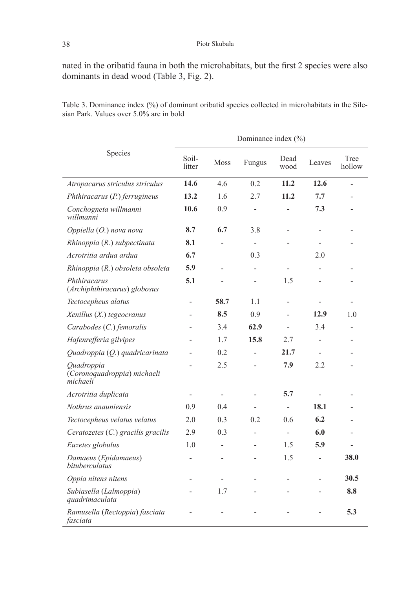nated in the oribatid fauna in both the microhabitats, but the first 2 species were also dominants in dead wood (Table 3, Fig. 2).

|                                                       | Dominance index $(\% )$ |                          |                          |                          |                |                |  |  |  |  |
|-------------------------------------------------------|-------------------------|--------------------------|--------------------------|--------------------------|----------------|----------------|--|--|--|--|
| Species                                               | Soil-<br>litter         | Moss                     | Fungus                   | Dead<br>wood             | Leaves         | Tree<br>hollow |  |  |  |  |
| Atropacarus striculus striculus                       | 14.6                    | 4.6                      | 0.2                      | 11.2                     | 12.6           |                |  |  |  |  |
| Phthiracarus (P.) ferrugineus                         | 13.2                    | 1.6                      | 2.7                      | 11.2                     | 7.7            |                |  |  |  |  |
| Conchogneta willmanni<br>willmanni                    | 10.6                    | 0.9                      | $\overline{\phantom{0}}$ |                          | 7.3            |                |  |  |  |  |
| Oppiella (O.) nova nova                               | 8.7                     | 6.7                      | 3.8                      |                          |                |                |  |  |  |  |
| Rhinoppia (R.) subpectinata                           | 8.1                     |                          | $\overline{\phantom{a}}$ |                          |                |                |  |  |  |  |
| Acrotritia ardua ardua                                | 6.7                     |                          | 0.3                      |                          | 2.0            |                |  |  |  |  |
| Rhinoppia (R.) obsoleta obsoleta                      | 5.9                     |                          | $\overline{a}$           |                          |                |                |  |  |  |  |
| Phthiracarus<br>(Archiphthiracarus) globosus          | 5.1                     |                          |                          | 1.5                      |                |                |  |  |  |  |
| Tectocepheus alatus                                   | $\overline{a}$          | 58.7                     | 1.1                      | $\overline{a}$           | $\overline{a}$ |                |  |  |  |  |
| Xenillus (X.) tegeocranus                             |                         | 8.5                      | 0.9                      |                          | 12.9           | 1.0            |  |  |  |  |
| Carabodes (C.) femoralis                              |                         | 3.4                      | 62.9                     |                          | 3.4            |                |  |  |  |  |
| Hafenrefferia gilvipes                                |                         | 1.7                      | 15.8                     | 2.7                      | $\overline{a}$ |                |  |  |  |  |
| Quadroppia (Q.) quadricarinata                        |                         | 0.2                      |                          | 21.7                     |                |                |  |  |  |  |
| Quadroppia<br>(Coronoquadroppia) michaeli<br>michaeli |                         | 2.5                      |                          | 7.9                      | 2.2            |                |  |  |  |  |
| Acrotritia duplicata                                  |                         | $\overline{\phantom{a}}$ |                          | 5.7                      |                |                |  |  |  |  |
| Nothrus anauniensis                                   | 0.9                     | 0.4                      |                          | $\overline{\phantom{0}}$ | 18.1           |                |  |  |  |  |
| Tectocepheus velatus velatus                          | 2.0                     | 0.3                      | 0.2                      | 0.6                      | 6.2            |                |  |  |  |  |
| Ceratozetes (C.) gracilis gracilis                    | 2.9                     | 0.3                      | $\overline{a}$           | $\overline{\phantom{0}}$ | 6.0            |                |  |  |  |  |
| Euzetes globulus                                      | 1.0                     | $\overline{a}$           | $\overline{a}$           | 1.5                      | 5.9            |                |  |  |  |  |
| Damaeus (Epidamaeus)<br>bituberculatus                |                         |                          |                          | 1.5                      |                | 38.0           |  |  |  |  |
| Oppia nitens nitens                                   |                         |                          |                          |                          |                | 30.5           |  |  |  |  |
| Subiasella (Lalmoppia)<br>quadrimaculata              |                         | 1.7                      |                          |                          |                | 8.8            |  |  |  |  |
| Ramusella (Rectoppia) fasciata<br>fasciata            |                         |                          |                          |                          |                | 5.3            |  |  |  |  |

Table 3. Dominance index (%) of dominant oribatid species collected in microhabitats in the Silesian Park. Values over 5.0% are in bold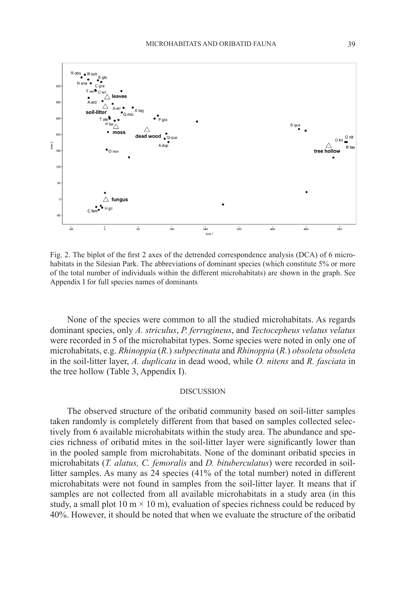

Fig. 2. The biplot of the first 2 axes of the detrended correspondence analysis (DCA) of 6 microhabitats in the Silesian Park. The abbreviations of dominant species (which constitute 5% or more of the total number of individuals within the different microhabitats) are shown in the graph. See Appendix I for full species names of dominants

None of the species were common to all the studied microhabitats. As regards dominant species, only *A. striculus*, *P. ferrugineus*, and *Tectocepheus velatus velatus* were recorded in 5 of the microhabitat types. Some species were noted in only one of microhabitats, e.g. *Rhinoppia* (*R.*) *subpectinata* and *Rhinoppia* (*R.*) *obsoleta obsoleta*  in the soil-litter layer, *A. duplicata* in dead wood, while *O. nitens* and *R. fasciata* in the tree hollow (Table 3, Appendix I).

## **DISCUSSION**

The observed structure of the oribatid community based on soil-litter samples taken randomly is completely different from that based on samples collected selectively from 6 available microhabitats within the study area. The abundance and species richness of oribatid mites in the soil-litter layer were significantly lower than in the pooled sample from microhabitats. None of the dominant oribatid species in microhabitats (*T. alatus, C. femoralis* and *D. bituberculatus*) were recorded in soillitter samples. As many as 24 species (41% of the total number) noted in different microhabitats were not found in samples from the soil-litter layer. It means that if samples are not collected from all available microhabitats in a study area (in this study, a small plot 10 m  $\times$  10 m), evaluation of species richness could be reduced by 40%. However, it should be noted that when we evaluate the structure of the oribatid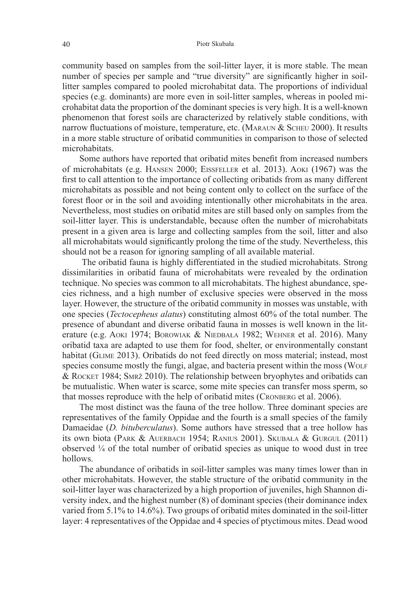#### 40 Piotr Skubała

community based on samples from the soil-litter layer, it is more stable. The mean number of species per sample and "true diversity" are significantly higher in soillitter samples compared to pooled microhabitat data. The proportions of individual species (e.g. dominants) are more even in soil-litter samples, whereas in pooled microhabitat data the proportion of the dominant species is very high. It is a well-known phenomenon that forest soils are characterized by relatively stable conditions, with narrow fluctuations of moisture, temperature, etc. (MARAUN & SCHEU 2000). It results in a more stable structure of oribatid communities in comparison to those of selected microhabitats.

Some authors have reported that oribatid mites benefit from increased numbers of microhabitats (e.g. Hansen 2000; Eissfeller et al. 2013). Aoki (1967) was the first to call attention to the importance of collecting oribatids from as many different microhabitats as possible and not being content only to collect on the surface of the forest floor or in the soil and avoiding intentionally other microhabitats in the area. Nevertheless, most studies on oribatid mites are still based only on samples from the soil-litter layer. This is understandable, because often the number of microhabitats present in a given area is large and collecting samples from the soil, litter and also all microhabitats would significantly prolong the time of the study. Nevertheless, this should not be a reason for ignoring sampling of all available material.

 The oribatid fauna is highly differentiated in the studied microhabitats. Strong dissimilarities in oribatid fauna of microhabitats were revealed by the ordination technique. No species was common to all microhabitats. The highest abundance, species richness, and a high number of exclusive species were observed in the moss layer. However, the structure of the oribatid community in mosses was unstable, with one species (*Tectocepheus alatus*) constituting almost 60% of the total number. The presence of abundant and diverse oribatid fauna in mosses is well known in the literature (e.g. Aoki 1974; Borowiak & Niedbała 1982; Wehner et al. 2016). Many oribatid taxa are adapted to use them for food, shelter, or environmentally constant habitat (GLIME 2013). Oribatids do not feed directly on moss material; instead, most species consume mostly the fungi, algae, and bacteria present within the moss (WOLF & Rocket 1984; Smrž 2010). The relationship between bryophytes and oribatids can be mutualistic. When water is scarce, some mite species can transfer moss sperm, so that mosses reproduce with the help of oribatid mites (CRONBERG et al. 2006).

The most distinct was the fauna of the tree hollow. Three dominant species are representatives of the family Oppidae and the fourth is a small species of the family Damaeidae (*D. bituberculatus*). Some authors have stressed that a tree hollow has its own biota (Park & Auerbach 1954; Ranius 2001). Skubała & Gurgul (2011) observed  $\frac{1}{4}$  of the total number of oribatid species as unique to wood dust in tree hollows.

The abundance of oribatids in soil-litter samples was many times lower than in other microhabitats. However, the stable structure of the oribatid community in the soil-litter layer was characterized by a high proportion of juveniles, high Shannon diversity index, and the highest number (8) of dominant species (their dominance index varied from 5.1% to 14.6%). Two groups of oribatid mites dominated in the soil-litter layer: 4 representatives of the Oppidae and 4 species of ptyctimous mites. Dead wood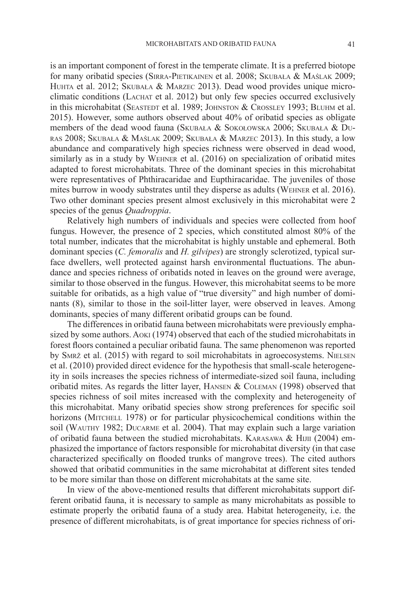is an important component of forest in the temperate climate. It is a preferred biotope for many oribatid species (Sirra-Pietikainen et al. 2008; Skubała & Maślak 2009; HUHTA et al. 2012; SKUBAŁA & MARZEC 2013). Dead wood provides unique microclimatic conditions (Lachat et al. 2012) but only few species occurred exclusively in this microhabitat (SEASTEDT et al. 1989; JOHNSTON & CROSSLEY 1993; BLUHM et al. 2015). However, some authors observed about 40% of oribatid species as obligate members of the dead wood fauna (Skubała & Sokołowska 2006; Skubała & Duras 2008; Skubała & Maślak 2009; Skubała & Marzec 2013). In this study, a low abundance and comparatively high species richness were observed in dead wood, similarly as in a study by Wehner et al. (2016) on specialization of oribatid mites adapted to forest microhabitats. Three of the dominant species in this microhabitat were representatives of Phthiracaridae and Eupthiracaridae. The juveniles of those mites burrow in woody substrates until they disperse as adults (Wehner et al. 2016). Two other dominant species present almost exclusively in this microhabitat were 2 species of the genus *Quadroppia*.

Relatively high numbers of individuals and species were collected from hoof fungus. However, the presence of 2 species, which constituted almost 80% of the total number, indicates that the microhabitat is highly unstable and ephemeral. Both dominant species (*C. femoralis* and *H. gilvipes*) are strongly sclerotized, typical surface dwellers, well protected against harsh environmental fluctuations. The abundance and species richness of oribatids noted in leaves on the ground were average, similar to those observed in the fungus. However, this microhabitat seems to be more suitable for oribatids, as a high value of "true diversity" and high number of dominants (8), similar to those in the soil-litter layer, were observed in leaves. Among dominants, species of many different oribatid groups can be found.

The differences in oribatid fauna between microhabitats were previously emphasized by some authors. Aoki (1974) observed that each of the studied microhabitats in forest floors contained a peculiar oribatid fauna. The same phenomenon was reported by Smrž et al. (2015) with regard to soil microhabitats in agroecosystems. Nielsen et al. (2010) provided direct evidence for the hypothesis that small-scale heterogeneity in soils increases the species richness of intermediate-sized soil fauna, including oribatid mites. As regards the litter layer, HANSEN & COLEMAN (1998) observed that species richness of soil mites increased with the complexity and heterogeneity of this microhabitat. Many oribatid species show strong preferences for specific soil horizons (MITCHELL 1978) or for particular physicochemical conditions within the soil (Wauthy 1982; Ducarme et al. 2004). That may explain such a large variation of oribatid fauna between the studied microhabitats. KARASAWA  $\&$  HIJII (2004) emphasized the importance of factors responsible for microhabitat diversity (in that case characterized specifically on flooded trunks of mangrove trees). The cited authors showed that oribatid communities in the same microhabitat at different sites tended to be more similar than those on different microhabitats at the same site.

In view of the above-mentioned results that different microhabitats support different oribatid fauna, it is necessary to sample as many microhabitats as possible to estimate properly the oribatid fauna of a study area. Habitat heterogeneity, i.e. the presence of different microhabitats, is of great importance for species richness of ori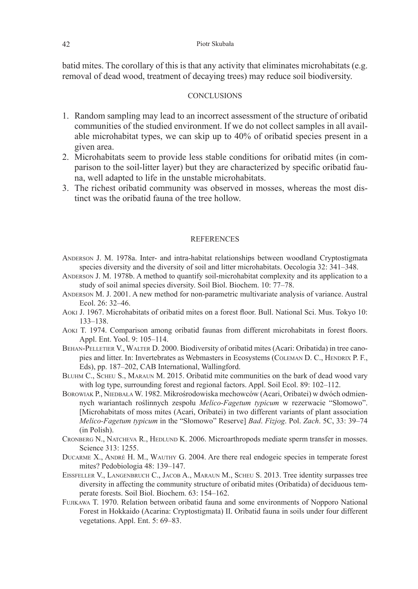batid mites. The corollary of this is that any activity that eliminates microhabitats (e.g. removal of dead wood, treatment of decaying trees) may reduce soil biodiversity.

# **CONCLUSIONS**

- 1. Random sampling may lead to an incorrect assessment of the structure of oribatid communities of the studied environment. If we do not collect samples in all available microhabitat types, we can skip up to 40% of oribatid species present in a given area.
- 2. Microhabitats seem to provide less stable conditions for oribatid mites (in comparison to the soil-litter layer) but they are characterized by specific oribatid fauna, well adapted to life in the unstable microhabitats.
- 3. The richest oribatid community was observed in mosses, whereas the most distinct was the oribatid fauna of the tree hollow.

# REFERENCES

- Anderson J. M. 1978a. Inter- and intra-habitat relationships between woodland Cryptostigmata species diversity and the diversity of soil and litter microhabitats. Oecologia 32: 341–348.
- Anderson J. M. 1978b. A method to quantify soil-microhabitat complexity and its application to a study of soil animal species diversity. Soil Biol. Biochem. 10: 77–78.
- Anderson M. J. 2001. A new method for non-parametric multivariate analysis of variance. Austral Ecol.  $26: 32-46$ .
- Aoki J. 1967. Microhabitats of oribatid mites on a forest floor. Bull. National Sci. Mus. Tokyo 10: 133–138.
- Aoki T. 1974. Comparison among oribatid faunas from different microhabitats in forest floors. Appl. Ent. Yool. 9: 105–114.
- BEHAN-PELLETIER V., WALTER D. 2000. Biodiversity of oribatid mites (Acari: Oribatida) in tree canopies and litter. In: Invertebrates as Webmasters in Ecosystems (COLEMAN D. C., HENDRIX P. F., Eds), pp. 187–202, CAB International, Wallingford.
- Bluhm C., Scheu S., Maraun M. 2015. Oribatid mite communities on the bark of dead wood vary with log type, surrounding forest and regional factors. Appl. Soil Ecol. 89: 102–112.
- BOROWIAK P., NIEDBAŁA W. 1982. Mikrośrodowiska mechowców (Acari, Oribatei) w dwóch odmiennych wariantach roślinnych zespołu *Melico-Fagetum typicum* w rezerwacie "Słomowo". [Microhabitats of moss mites (Acari, Oribatei) in two different variants of plant association *Melico-Fagetum typicum* in the "Słomowo" Reserve] *Bad*. *Fizjog*. Pol. *Zach*. 5C, 33: 39–74 (in Polish).
- Cronberg N., Natcheva R., Hedlund K. 2006. Microarthropods mediate sperm transfer in mosses. Science 313: 1255.
- DUCARME X., ANDRÉ H. M., WAUTHY G. 2004. Are there real endogeic species in temperate forest mites? Pedobiologia 48: 139–147.
- Eissfeller V., Langenbruch C., Jacob A., Maraun M., Scheu S. 2013. Tree identity surpasses tree diversity in affecting the community structure of oribatid mites (Oribatida) of deciduous temperate forests. Soil Biol. Biochem. 63: 154–162.
- FUJIKAWA T. 1970. Relation between oribatid fauna and some environments of Nopporo National Forest in Hokkaido (Acarina: Cryptostigmata) II. Oribatid fauna in soils under four different vegetations. Appl. Ent. 5: 69–83.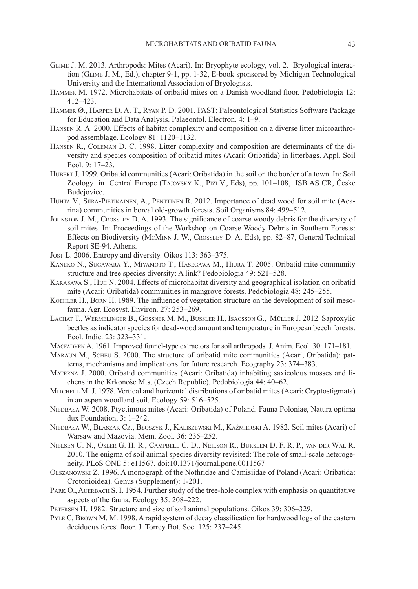- Glime J. M. 2013. Arthropods: Mites (Acari). In: Bryophyte ecology, vol. 2. Bryological interaction (Glime J. M., Ed.), chapter 9-1, pp. 1-32, E-book sponsored by Michigan Technological University and the International Association of Bryologists.
- Hammer M. 1972. Microhabitats of oribatid mites on a Danish woodland floor. Pedobiologia 12: 412–423.
- Hammer Ø., Harper D. A. T., Ryan P. D. 2001. PAST: Paleontological Statistics Software Package for Education and Data Analysis. Palaeontol. Electron. 4: 1–9.
- Hansen R. A. 2000. Effects of habitat complexity and composition on a diverse litter microarthropod assemblage. Ecology 81: 1120–1132.
- Hansen R., Coleman D. C. 1998. Litter complexity and composition are determinants of the diversity and species composition of oribatid mites (Acari: Oribatida) in litterbags. Appl. Soil Ecol. 9: 17–23.
- Hubert J. 1999. Oribatid communities (Acari: Oribatida) in the soil on the border of a town. In: Soil Zoology in Central Europe (Tajovský K., Piži V., Eds), pp. 101–108, ISB AS CR, České Budejovice.
- Huhta V., Siira-Pietikäinen, A., Penttinen R. 2012. Importance of dead wood for soil mite (Acarina) communities in boreal old-growth forests. Soil Organisms 84: 499–512.
- Johnston J. M., Crossley D. A. 1993. The significance of coarse woody debris for the diversity of soil mites. In: Proceedings of the Workshop on Coarse Woody Debris in Southern Forests: Effects on Biodiversity (McMinn J. W., Crossley D. A. Eds), pp. 82–87, General Technical Report SE-94. Athens.
- Jost L. 2006. Entropy and diversity. Oikos 113: 363–375.
- Kaneko N., Sugawara Y., Miyamoto T., Hasegawa M., Hiura T. 2005. Oribatid mite community structure and tree species diversity: A link? Pedobiologia 49: 521–528.
- KARASAWA S., HIJII N. 2004. Effects of microhabitat diversity and geographical isolation on oribatid mite (Acari: Oribatida) communities in mangrove forests. Pedobiologia 48: 245–255.
- Koehler H., Born H. 1989. The influence of vegetation structure on the development of soil mesofauna. Agr. Ecosyst. Environ. 27: 253–269.
- Lachat T., Wermelinger B., Gossner M. M., Bussler H., Isacsson G., Müller J. 2012. Saproxylic beetles as indicator species for dead-wood amount and temperature in European beech forests. Ecol. Indic. 23: 323–331.
- Macfadyen A. 1961. Improved funnel-type extractors for soil arthropods. J. Anim. Ecol. 30: 171–181.
- Maraun M., Scheu S. 2000. The structure of oribatid mite communities (Acari, Oribatida): patterns, mechanisms and implications for future research. Ecography 23: 374–383.
- Materna J. 2000. Oribatid communities (Acari: Oribatida) inhabiting saxicolous mosses and lichens in the Krkonoše Mts. (Czech Republic). Pedobiologia 44: 40–62.
- MITCHELL M. J. 1978. Vertical and horizontal distributions of oribatid mites (Acari: Cryptostigmata) in an aspen woodland soil. Ecology 59: 516–525.
- NIEDBAŁA W. 2008. Ptyctimous mites (Acari: Oribatida) of Poland. Fauna Poloniae, Natura optima dux Foundation, 3: 1–242.
- Niedbała W., Błaszak Cz., Błoszyk J., Kaliszewski M., Kaźmierski A. 1982. Soil mites (Acari) of Warsaw and Mazovia. Mem. Zool. 36: 235–252.
- Nielsen U. N., Osler G. H. R., Campbell C. D., Neilson R., Burslem D. F. R. P., van der Wal R. 2010. The enigma of soil animal species diversity revisited: The role of small-scale heterogeneity. PLoS ONE 5: e11567. doi:10.1371/journal.pone.0011567
- Olszanowski Z. 1996. A monograph of the Nothridae and Camisiidae of Poland (Acari: Oribatida: Crotonioidea). Genus (Supplement): 1-201.
- PARK O., AUERBACH S. I. 1954. Further study of the tree-hole complex with emphasis on quantitative aspects of the fauna. Ecology 35: 208–222.
- Petersen H. 1982. Structure and size of soil animal populations. Oikos 39: 306–329.
- Pyle C, Brown M. M. 1998. A rapid system of decay classification for hardwood logs of the eastern deciduous forest floor. J. Torrey Bot. Soc. 125: 237–245.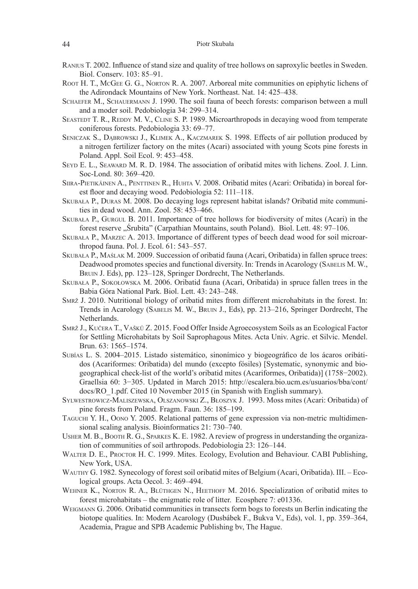- Ranius T. 2002. Influence of stand size and quality of tree hollows on saproxylic beetles in Sweden. Biol. Conserv. 103: 85–91.
- Root H. T., McGee G. G., Norton R. A. 2007. Arboreal mite communities on epiphytic lichens of the Adirondack Mountains of New York. Northeast. Nat. 14: 425–438.
- Schaefer M., Schauermann J. 1990. The soil fauna of beech forests: comparison between a mull and a moder soil. Pedobiologia 34: 299–314.
- SEASTEDT T. R., REDDY M. V., CLINE S. P. 1989. Microarthropods in decaying wood from temperate coniferous forests. Pedobiologia 33: 69–77.
- Seniczak S., Dąbrowski J., Klimek A., Kaczmarek S. 1998. Effects of air pollution produced by a nitrogen fertilizer factory on the mites (Acari) associated with young Scots pine forests in Poland. Appl. Soil Ecol. 9: 453–458.
- Seyd E. L., Seaward M. R. D. 1984. The association of oribatid mites with lichens. Zool. J. Linn. Soc-Lond. 80: 369–420.
- Siira-Pietikäinen A., Penttinen R., Huhta V. 2008. Oribatid mites (Acari: Oribatida) in boreal forest floor and decaying wood. Pedobiologia 52: 111–118.
- Skubała P., Duras M. 2008. Do decaying logs represent habitat islands? Oribatid mite communities in dead wood. Ann. Zool. 58: 453–466.
- Skubała P., Gurgul B. 2011. Importance of tree hollows for biodiversity of mites (Acari) in the forest reserve "Śrubita" (Carpathian Mountains, south Poland). Biol. Lett. 48: 97–106.
- Skubała P., Marzec A. 2013. Importance of different types of beech dead wood for soil microarthropod fauna. Pol. J. Ecol. 61: 543–557.
- Skubała P., Maślak M. 2009. Succession of oribatid fauna (Acari, Oribatida) in fallen spruce trees: Deadwood promotes species and functional diversity. In: Trends in Acarology (SABELIS M. W., Bruin J. Eds), pp. 123–128, Springer Dordrecht, The Netherlands.
- Skubała P., Sokołowska M. 2006. Oribatid fauna (Acari, Oribatida) in spruce fallen trees in the Babia Góra National Park. Biol. Lett. 43: 243–248.
- Smrž J. 2010. Nutritional biology of oribatid mites from different microhabitats in the forest. In: Trends in Acarology (Sabelis M. W., Bruin J., Eds), pp. 213–216, Springer Dordrecht, The Netherlands.
- Smrž J., Kučera T., Vašků Z. 2015. Food Offer Inside Agroecosystem Soils as an Ecological Factor for Settling Microhabitats by Soil Saprophagous Mites. Acta Univ. Agric. et Silvic. Mendel. Brun. 63: 1565–1574.
- Subías L. S. 2004–2015. Listado sistemático, sinonímico y biogeográfico de los ácaros oribátidos (Acariformes: Oribatida) del mundo (excepto fósiles) [Systematic, synonymic and biogeographical check-list of the world's oribatid mites (Acariformes, Oribatida)] (1758−2002). Graellsia 60: 3−305. Updated in March 2015: http://escalera.bio.ucm.es/usuarios/bba/cont/ docs/RO\_1.pdf. Cited 10 November 2015 (in Spanish with English summary).
- Sylwestrowicz-Maliszewska, Olszanowski Z., Błoszyk J. 1993. Moss mites (Acari: Oribatida) of pine forests from Poland. Fragm. Faun. 36: 185*–*199.
- Taguchi Y. H., Oono Y. 2005. Relational patterns of gene expression via non-metric multidimensional scaling analysis. Bioinformatics 21: 730–740.
- Usher M. B., Booth R. G., Sparkes K. E. 1982. A review of progress in understanding the organization of communities of soil arthropods. Pedobiologia 23: 126–144.
- Walter D. E., Proctor H. C. 1999. Mites. Ecology, Evolution and Behaviour. CABI Publishing, New York, USA.
- Wauthy G. 1982. Synecology of forest soil oribatid mites of Belgium (Acari, Oribatida). III. Ecological groups. Acta Oecol. 3: 469–494.
- Wehner K., Norton R. A., Blüthgen N., Heethoff M. 2016. Specialization of oribatid mites to forest microhabitats – the enigmatic role of litter. Ecosphere 7: e01336.
- WEIGMANN G. 2006. Oribatid communities in transects form bogs to forests un Berlin indicating the biotope qualities. In: Modern Acarology (Dusbábek F., Bukva V., Eds), vol. 1, pp. 359–364, Academia, Prague and SPB Academic Publishing bv, The Hague.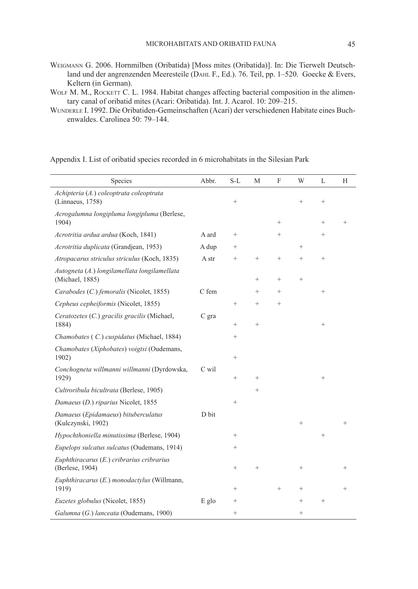- Weigmann G. 2006. Hornmilben (Oribatida) [Moss mites (Oribatida)]. In: Die Tierwelt Deutschland und der angrenzenden Meeresteile (DAHL F., Ed.). 76. Teil, pp. 1-520. Goecke & Evers, Keltern (in German).
- WOLF M. M., ROCKETT C. L. 1984. Habitat changes affecting bacterial composition in the alimentary canal of oribatid mites (Acari: Oribatida). Int. J. Acarol. 10: 209–215.
- Wunderle I. 1992. Die Oribatiden-Gemeinschaften (Acari) der verschiedenen Habitate eines Buchenwaldes. Carolinea 50: 79–144.

Appendix I. List of oribatid species recorded in 6 microhabitats in the Silesian Park

| Species                                                         | Abbr. | $S-L$              | M               | $\boldsymbol{\mathrm{F}}$ | W               | L      | H      |
|-----------------------------------------------------------------|-------|--------------------|-----------------|---------------------------|-----------------|--------|--------|
| Achipteria (A.) coleoptrata coleoptrata<br>(Linnaeus, 1758)     |       | $^{+}$             |                 |                           | $\! + \!\!\!\!$ | $^{+}$ |        |
| Acrogalumna longipluma longipluma (Berlese,<br>1904)            |       |                    |                 | $\! + \!\!\!\!$           |                 | $^{+}$ | $^{+}$ |
| Acrotritia ardua ardua (Koch, 1841)                             | A ard | $^{+}$             |                 | $^{+}$                    |                 | $^{+}$ |        |
| Acrotritia duplicata (Grandjean, 1953)                          | A dup | $\hspace{0.1mm} +$ |                 |                           | $^{+}$          |        |        |
| Atropacarus striculus striculus (Koch, 1835)                    | A str | $^{+}$             | $+$             | $^{+}$                    | $^{+}$          | $^{+}$ |        |
| Autogneta (A.) longilamellata longilamellata<br>(Michael, 1885) |       |                    | $\! + \!\!\!\!$ | $^{+}$                    | $^{+}$          |        |        |
| Carabodes (C.) femoralis (Nicolet, 1855)                        | C fem |                    | $^{+}$          | $^{+}$                    |                 | $^{+}$ |        |
| Cepheus cepheiformis (Nicolet, 1855)                            |       | $^{+}$             | $^{+}$          | $\overline{+}$            |                 |        |        |
| Ceratozetes (C.) gracilis gracilis (Michael,<br>1884)           | C gra | $^{+}$             | $^{+}$          |                           |                 | $^{+}$ |        |
| Chamobates (C.) cuspidatus (Michael, 1884)                      |       | $^{+}$             |                 |                           |                 |        |        |
| Chamobates (Xiphobates) voigtsi (Oudemans,<br>1902)             |       | $^{+}$             |                 |                           |                 |        |        |
| Conchogneta willmanni willmanni (Dyrdowska,<br>1929)            | C wil | $^{+}$             | $^{+}$          |                           |                 | $^{+}$ |        |
| Cultroribula bicultrata (Berlese, 1905)                         |       |                    | $^{+}$          |                           |                 |        |        |
| Damaeus (D.) riparius Nicolet, 1855                             |       | $^{+}$             |                 |                           |                 |        |        |
| Damaeus (Epidamaeus) bituberculatus<br>(Kulczynski, 1902)       | D bit |                    |                 |                           | $+$             |        |        |
| Hypochthoniella minutissima (Berlese, 1904)                     |       | $^{+}$             |                 |                           |                 | $^{+}$ |        |
| Eupelops sulcatus sulcatus (Oudemans, 1914)                     |       | $^{+}$             |                 |                           |                 |        |        |
| Euphthiracarus (E.) cribrarius cribrarius<br>(Berlese, 1904)    |       | $^{+}$             | $^{+}$          |                           | $^{+}$          |        | $^{+}$ |
| Euphthiracarus (E.) monodactylus (Willmann,<br>1919)            |       | $^{+}$             |                 | $^+$                      | $^{+}$          |        | $\,$   |
| Euzetes globulus (Nicolet, 1855)                                | E glo | $\hspace{0.1mm} +$ |                 |                           | $^{+}$          | $^{+}$ |        |
| Galumna (G.) lanceata (Oudemans, 1900)                          |       | $^{+}$             |                 |                           | $^{+}$          |        |        |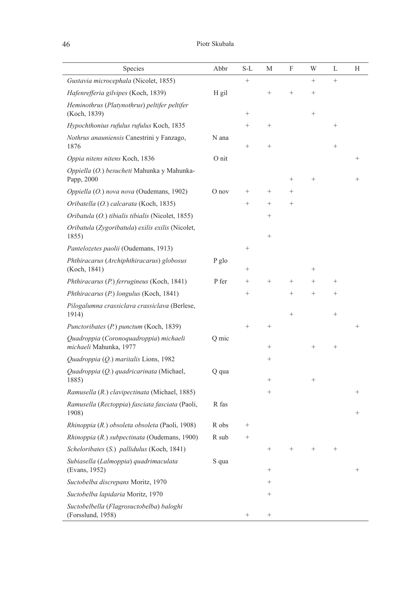| Species                                                          | Abbr    | S-L    | М               | F                 | W                  | L      | Н      |
|------------------------------------------------------------------|---------|--------|-----------------|-------------------|--------------------|--------|--------|
| Gustavia microcephala (Nicolet, 1855)                            |         | $^{+}$ |                 |                   | $\qquad \qquad +$  | $^{+}$ |        |
| Hafenrefferia gilvipes (Koch, 1839)                              | H gil   |        | $^{+}$          | $\qquad \qquad +$ | $^{+}$             |        |        |
| Heminothrus (Platynothrus) peltifer peltifer<br>(Koch, 1839)     |         | $^{+}$ |                 |                   | $^{+}$             |        |        |
| Hypochthonius rufulus rufulus Koch, 1835                         |         | $^{+}$ | $^{+}$          |                   |                    | $^{+}$ |        |
| Nothrus anauniensis Canestrini y Fanzago,<br>1876                | N ana   | $^{+}$ | $^{+}$          |                   |                    | $^{+}$ |        |
| Oppia nitens nitens Koch, 1836                                   | O nit   |        |                 |                   |                    |        |        |
| Oppiella (O.) besucheti Mahunka y Mahunka-<br>Papp, 2000         |         |        |                 | $^{+}$            | $^{+}$             |        |        |
| Oppiella (O.) nova nova (Oudemans, 1902)                         | $O$ nov | $^{+}$ | $^{+}$          | $^{+}$            |                    |        |        |
| Oribatella (O.) calcarata (Koch, 1835)                           |         | $^{+}$ | $^{+}$          | $^{+}$            |                    |        |        |
| Oribatula (O.) tibialis tibialis (Nicolet, 1855)                 |         |        | $^{+}$          |                   |                    |        |        |
| Oribatula (Zygoribatula) exilis exilis (Nicolet,<br>1855)        |         |        | $^{+}$          |                   |                    |        |        |
| Pantelozetes paolii (Oudemans, 1913)                             |         | $^{+}$ |                 |                   |                    |        |        |
| Phthiracarus (Archiphthiracarus) globosus<br>(Koch, 1841)        | P glo   | $^{+}$ |                 |                   | $^{+}$             |        |        |
| Phthiracarus (P.) ferrugineus (Koch, 1841)                       | P fer   | $^{+}$ | $^{+}$          | $^{+}$            | $^{+}$             | $^{+}$ |        |
| Phthiracarus (P.) longulus (Koch, 1841)                          |         | $^{+}$ |                 | $^{+}$            | $^{+}$             | $^{+}$ |        |
| Pilogalumna crassiclava crassiclava (Berlese,<br>1914)           |         |        |                 | $^{+}$            |                    | $^{+}$ |        |
| Punctoribates (P.) punctum (Koch, 1839)                          |         | $^{+}$ | $^{+}$          |                   |                    |        |        |
| Quadroppia (Coronoquadroppia) michaeli<br>michaeli Mahunka, 1977 | Q mic   |        | $^{+}$          |                   | $^{+}$             | $^{+}$ |        |
| Quadroppia (Q.) maritalis Lions, 1982                            |         |        | $^{+}$          |                   |                    |        |        |
| Quadroppia (Q.) quadricarinata (Michael,<br>1885)                | Q qua   |        | $^{+}$          |                   | $^{+}$             |        |        |
| <i>Ramusella (R.) clavipectinata (Michael, 1885)</i>             |         |        | $^{+}$          |                   |                    |        | $\,$   |
| Ramusella (Rectoppia) fasciata fasciata (Paoli,<br>1908)         | R fas   |        |                 |                   |                    |        | $^{+}$ |
| Rhinoppia (R.) obsoleta obsoleta (Paoli, 1908)                   | R obs   | $^{+}$ |                 |                   |                    |        |        |
| Rhinoppia (R.) subpectinata (Oudemans, 1900)                     | R sub   | $^{+}$ |                 |                   |                    |        |        |
| Scheloribates (S.) pallidulus (Koch, 1841)                       |         |        | $^+$            | $^{+}$            | $\hspace{0.1mm} +$ | $^{+}$ |        |
| Subiasella (Lalmoppia) quadrimaculata<br>(Evans, 1952)           | S qua   |        | $^{+}$          |                   |                    |        | $\,$   |
| Suctobelba discrepans Moritz, 1970                               |         |        | $^{+}$          |                   |                    |        |        |
| Suctobelba lapidaria Moritz, 1970                                |         |        | $^{+}$          |                   |                    |        |        |
| Suctobelbella (Flagrosuctobelba) baloghi<br>(Forsslund, 1958)    |         | $^{+}$ | $\! + \!\!\!\!$ |                   |                    |        |        |